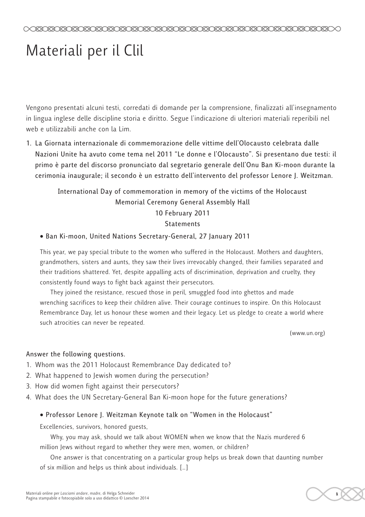# Materiali per il Clil

Vengono presentati alcuni testi, corredati di domande per la comprensione, finalizzati all'insegnamento in lingua inglese delle discipline storia e diritto. Segue l'indicazione di ulteriori materiali reperibili nel web e utilizzabili anche con la Lim.

1. La Giornata internazionale di commemorazione delle vittime dell'Olocausto celebrata dalle Nazioni Unite ha avuto come tema nel 2011 "Le donne e l'Olocausto". Si presentano due testi: il primo è parte del discorso pronunciato dal segretario generale dell'Onu Ban Ki-moon durante la cerimonia inaugurale; il secondo è un estratto dell'intervento del professor Lenore J. Weitzman.

## International Day of commemoration in memory of the victims of the Holocaust Memorial Ceremony General Assembly Hall 10 February 2011

#### **Statements**

## • Ban Ki-moon, United Nations Secretary-General, 27 January 2011

This year, we pay special tribute to the women who suffered in the Holocaust. Mothers and daughters, grandmothers, sisters and aunts, they saw their lives irrevocably changed, their families separated and their traditions shattered. Yet, despite appalling acts of discrimination, deprivation and cruelty, they consistently found ways to fight back against their persecutors.

They joined the resistance, rescued those in peril, smuggled food into ghettos and made wrenching sacrifices to keep their children alive. Their courage continues to inspire. On this Holocaust Remembrance Day, let us honour these women and their legacy. Let us pledge to create a world where such atrocities can never be repeated.

(www.un.org)

## Answer the following questions.

- 1. Whom was the 2011 Holocaust Remembrance Day dedicated to?
- 2. What happened to Jewish women during the persecution?
- 3. How did women fight against their persecutors?
- 4. What does the UN Secretary-General Ban Ki-moon hope for the future generations?

## • Professor Lenore J. Weitzman Keynote talk on "Women in the Holocaust"

Excellencies, survivors, honored guests,

Why, you may ask, should we talk about WOMEN when we know that the Nazis murdered 6 million Jews without regard to whether they were men, women, or children?

One answer is that concentrating on a particular group helps us break down that daunting number of six million and helps us think about individuals. […]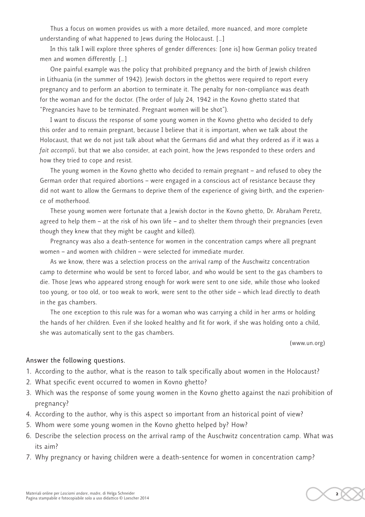Thus a focus on women provides us with a more detailed, more nuanced, and more complete understanding of what happened to Jews during the Holocaust. […]

In this talk I will explore three spheres of gender differences: [one is] how German policy treated men and women differently. […]

One painful example was the policy that prohibited pregnancy and the birth of Jewish children in Lithuania (in the summer of 1942). Jewish doctors in the ghettos were required to report every pregnancy and to perform an abortion to terminate it. The penalty for non-compliance was death for the woman and for the doctor. (The order of July 24, 1942 in the Kovno ghetto stated that "Pregnancies have to be terminated. Pregnant women will be shot").

I want to discuss the response of some young women in the Kovno ghetto who decided to defy this order and to remain pregnant, because I believe that it is important, when we talk about the Holocaust, that we do not just talk about what the Germans did and what they ordered as if it was a *fait accompli*, but that we also consider, at each point, how the Jews responded to these orders and how they tried to cope and resist.

The young women in the Kovno ghetto who decided to remain pregnant – and refused to obey the German order that required abortions – were engaged in a conscious act of resistance because they did not want to allow the Germans to deprive them of the experience of giving birth, and the experience of motherhood.

These young women were fortunate that a Jewish doctor in the Kovno ghetto, Dr. Abraham Peretz, agreed to help them – at the risk of his own life – and to shelter them through their pregnancies (even though they knew that they might be caught and killed).

Pregnancy was also a death-sentence for women in the concentration camps where all pregnant women – and women with children – were selected for immediate murder.

As we know, there was a selection process on the arrival ramp of the Auschwitz concentration camp to determine who would be sent to forced labor, and who would be sent to the gas chambers to die. Those Jews who appeared strong enough for work were sent to one side, while those who looked too young, or too old, or too weak to work, were sent to the other side – which lead directly to death in the gas chambers.

The one exception to this rule was for a woman who was carrying a child in her arms or holding the hands of her children. Even if she looked healthy and fit for work, if she was holding onto a child, she was automatically sent to the gas chambers.

(www.un.org)

## Answer the following questions.

- 1. According to the author, what is the reason to talk specifically about women in the Holocaust?
- 2. What specific event occurred to women in Kovno ghetto?
- 3. Which was the response of some young women in the Kovno ghetto against the nazi prohibition of pregnancy?
- 4. According to the author, why is this aspect so important from an historical point of view?
- 5. Whom were some young women in the Kovno ghetto helped by? How?
- 6. Describe the selection process on the arrival ramp of the Auschwitz concentration camp. What was its aim?
- 7. Why pregnancy or having children were a death-sentence for women in concentration camp?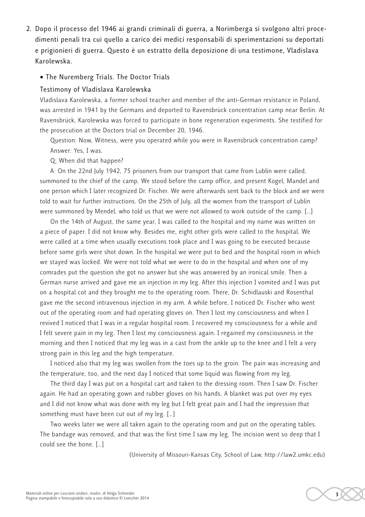2. Dopo il processo del 1946 ai grandi criminali di guerra, a Norimberga si svolgono altri procedimenti penali tra cui quello a carico dei medici responsabili di sperimentazioni su deportati e prigionieri di guerra. Questo è un estratto della deposizione di una testimone, Vladislava Karolewska.

### • The Nuremberg Trials. The Doctor Trials

#### Testimony of Vladislava Karolewska

Vladislava Karolewska, a former school teacher and member of the anti-German resistance in Poland, was arrested in 1941 by the Germans and deported to Ravensbrück concentration camp near Berlin. At Ravensbrück, Karolewska was forced to participate in bone regeneration experiments. She testified for the prosecution at the Doctors trial on December 20, 1946.

Question: Now, Witness, were you operated while you were in Ravensbrück concentration camp? Answer: Yes, I was.

Q: When did that happen?

A: On the 22nd July 1942, 75 prisoners from our transport that came from Lublin were called, summoned to the chief of the camp. We stood before the camp office, and present Kogel, Mandel and one person which I later recognized Dr. Fischer. We were afterwards sent back to the block and we were told to wait for further instructions. On the 25th of July, all the women from the transport of Lublin were summoned by Mendel, who told us that we were not allowed to work outside of the camp. […]

On the 14th of August, the same year, I was called to the hospital and my name was written on a piece of paper. I did not know why. Besides me, eight other girls were called to the hospital. We were called at a time when usually executions took place and I was going to be executed because before some girls were shot down. In the hospital we were put to bed and the hospital room in which we stayed was locked. We were not told what we were to do in the hospital and when one of my comrades put the question she got no answer but she was answered by an ironical smile. Then a German nurse arrived and gave me an injection in my leg. After this injection I vomited and I was put on a hospital cot and they brought me to the operating room. There, Dr. Schidlauski and Rosenthal gave me the second intravenous injection in my arm. A while before, I noticed Dr. Fischer who went out of the operating room and had operating gloves on. Then I lost my consciousness and when I revived I noticed that I was in a regular hospital room. I recovered my consciousness for a while and I felt severe pain in my leg. Then I lost my consciousness again. I regained my consciousness in the morning and then I noticed that my leg was in a cast from the ankle up to the knee and I felt a very strong pain in this leg and the high temperature.

I noticed also that my leg was swollen from the toes up to the groin. The pain was increasing and the temperature, too, and the next day I noticed that some liquid was flowing from my leg.

The third day I was put on a hospital cart and taken to the dressing room. Then I saw Dr. Fischer again. He had an operating gown and rubber gloves on his hands. A blanket was put over my eyes and I did not know what was done with my leg but I felt great pain and I had the impression that something must have been cut out of my leg. […]

Two weeks later we were all taken again to the operating room and put on the operating tables. The bandage was removed, and that was the first time I saw my leg. The incision went so deep that I could see the bone. […]

(University of Missouri-Kansas City, School of Law, http://law2.umkc.edu)